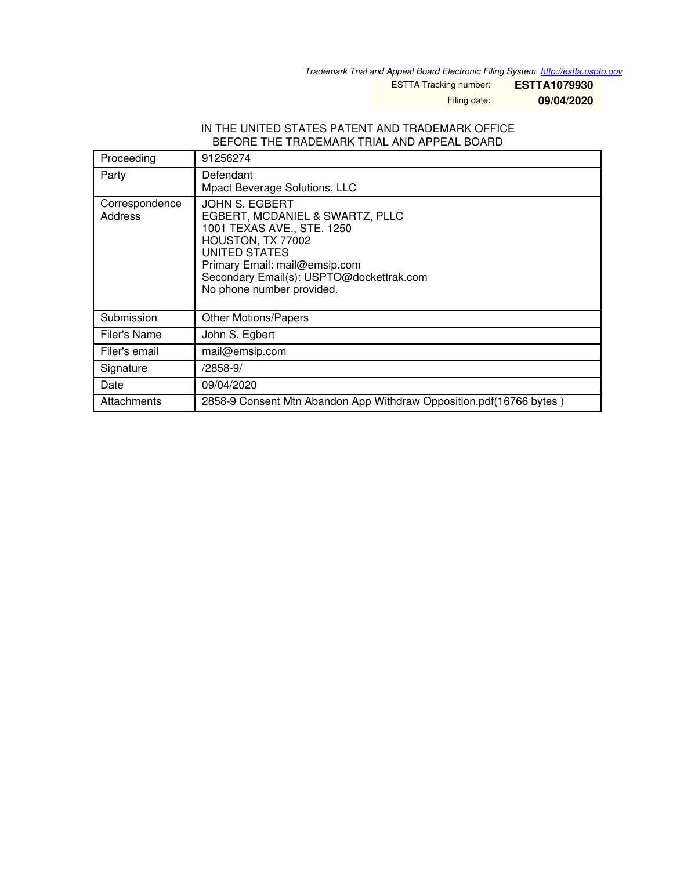*Trademark Trial and Appeal Board Electronic Filing System. <http://estta.uspto.gov>*

ESTTA Tracking number: **ESTTA1079930**

Filing date: **09/04/2020**

## IN THE UNITED STATES PATENT AND TRADEMARK OFFICE BEFORE THE TRADEMARK TRIAL AND APPEAL BOARD

| Proceeding                | 91256274                                                                                                                                                                                                                               |
|---------------------------|----------------------------------------------------------------------------------------------------------------------------------------------------------------------------------------------------------------------------------------|
| Party                     | Defendant<br>Mpact Beverage Solutions, LLC                                                                                                                                                                                             |
| Correspondence<br>Address | <b>JOHN S. EGBERT</b><br>EGBERT, MCDANIEL & SWARTZ, PLLC<br>1001 TEXAS AVE., STE. 1250<br>HOUSTON, TX 77002<br>UNITED STATES<br>Primary Email: mail@emsip.com<br>Secondary Email(s): USPTO@dockettrak.com<br>No phone number provided. |
| Submission                | <b>Other Motions/Papers</b>                                                                                                                                                                                                            |
| Filer's Name              | John S. Egbert                                                                                                                                                                                                                         |
| Filer's email             | mail@emsip.com                                                                                                                                                                                                                         |
| Signature                 | /2858-9/                                                                                                                                                                                                                               |
| Date                      | 09/04/2020                                                                                                                                                                                                                             |
| Attachments               | 2858-9 Consent Mtn Abandon App Withdraw Opposition.pdf(16766 bytes)                                                                                                                                                                    |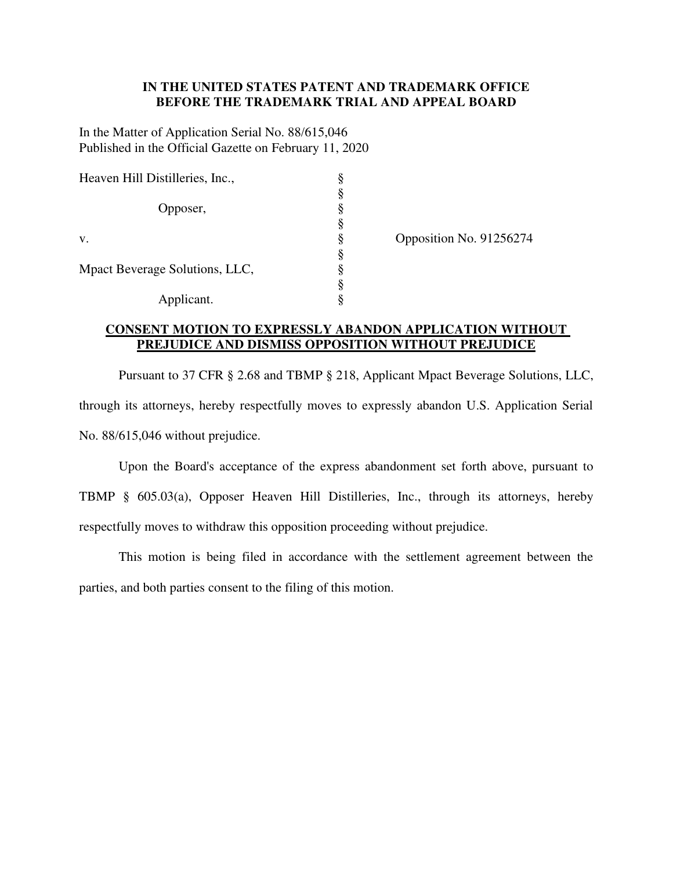## **IN THE UNITED STATES PATENT AND TRADEMARK OFFICE BEFORE THE TRADEMARK TRIAL AND APPEAL BOARD**

In the Matter of Application Serial No. 88/615,046 Published in the Official Gazette on February 11, 2020

| Heaven Hill Distilleries, Inc., |   |
|---------------------------------|---|
|                                 | ş |
| Opposer,                        | ş |
|                                 | ş |
| V.                              |   |
|                                 | ş |
| Mpact Beverage Solutions, LLC,  | 8 |
|                                 | ş |
| Applicant.                      |   |

Opposition No. 91256274

## **CONSENT MOTION TO EXPRESSLY ABANDON APPLICATION WITHOUT PREJUDICE AND DISMISS OPPOSITION WITHOUT PREJUDICE**

 Pursuant to 37 CFR § 2.68 and TBMP § 218, Applicant Mpact Beverage Solutions, LLC, through its attorneys, hereby respectfully moves to expressly abandon U.S. Application Serial No. 88/615,046 without prejudice.

 Upon the Board's acceptance of the express abandonment set forth above, pursuant to TBMP § 605.03(a), Opposer Heaven Hill Distilleries, Inc., through its attorneys, hereby respectfully moves to withdraw this opposition proceeding without prejudice.

 This motion is being filed in accordance with the settlement agreement between the parties, and both parties consent to the filing of this motion.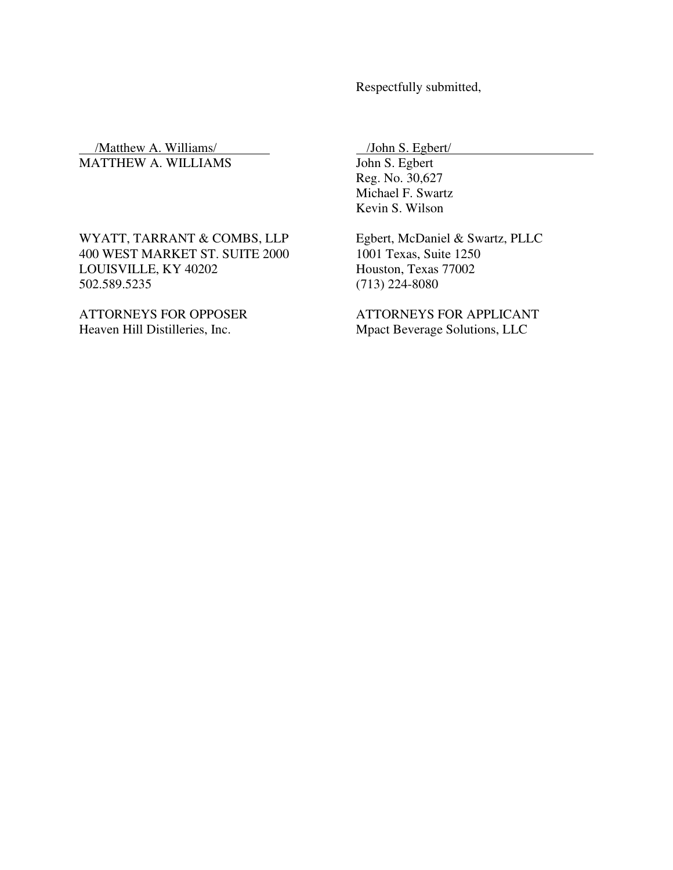Respectfully submitted,

/Matthew A. Williams/ / /John S. Egbert/<br>ATTHEW A. WILLIAMS / John S. Egbert MATTHEW A. WILLIAMS

WYATT, TARRANT & COMBS, LLP Egbert, McDaniel & Swartz, PLLC 400 WEST MARKET ST. SUITE 2000 1001 Texas, Suite 1250 LOUISVILLE, KY 40202 Houston, Texas 77002 502.589.5235 (713) 224-8080

 Reg. No. 30,627 Michael F. Swartz Kevin S. Wilson

ATTORNEYS FOR OPPOSER ATTORNEYS FOR APPLICANT Heaven Hill Distilleries, Inc. Mpact Beverage Solutions, LLC